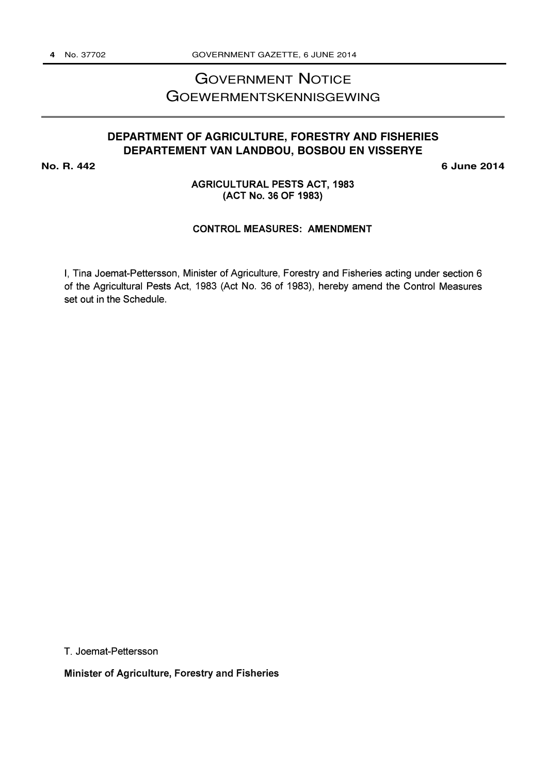# **GOVERNMENT NOTICE GOEWERMENTSKENNISGEWING**

# DEPARTMENT OF AGRICULTURE, FORESTRY AND FISHERIES DEPARTEMENT VAN LANDBOU, BOSBOU EN VISSERYE

No. R. 442

6 June 2014

### **AGRICULTURAL PESTS ACT, 1983** (ACT No. 36 OF 1983)

# **CONTROL MEASURES: AMENDMENT**

I, Tina Joemat-Pettersson, Minister of Agriculture, Forestry and Fisheries acting under section 6 of the Agricultural Pests Act, 1983 (Act No. 36 of 1983), hereby amend the Control Measures set out in the Schedule.

T. Joemat-Pettersson

Minister of Agriculture, Forestry and Fisheries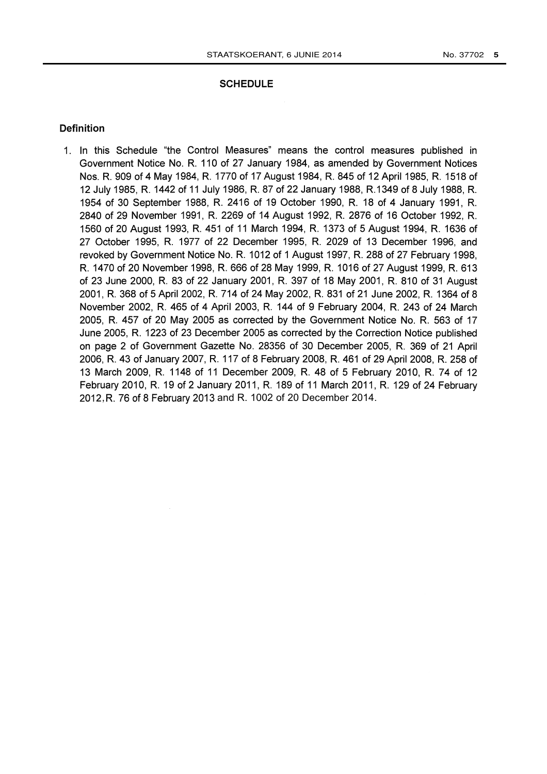#### **SCHEDULE**

### **Definition**

1. In this Schedule "the Control Measures" means the control measures published in Government Notice No. R. 110 of 27 January 1984, as amended by Government Notices Nos. R. 909 of 4 May 1984, R. 1770 of 17 August 1984, R. 845 of 12 April 1985, R. 1518 of 12 July 1985, R. 1442 of 11 July 1986, R. 87 of 22 January 1988, R.1349 of 8 July 1988, R. 1954 of 30 September 1988, R. 2416 of 19 October 1990, R. 18 of 4 January 1991, R. 2840 of 29 November 1991, R. 2269 of 14 August 1992, R. 2876 of 16 October 1992, R. 1560 of 20 August 1993, R. 451 of 11 March 1994, R. 1373 of 5 August 1994, R. 1636 of 27 October 1995, R. 1977 of 22 December 1995, R. 2029 of 13 December 1996, and revoked by Government Notice No. R. 1012 of 1 August 1997, R. 288 of 27 February 1998, R. 1470 of 20 November 1998, R. 666 of 28 May 1999, R. 1016 of 27 August 1999, R. 613 of 23 June 2000, R. 83 of 22 January 2001, R. 397 of 18 May 2001, R. 810 of 31 August 2001, R. 368 of 5 April 2002, R. 714 of 24 May 2002, R. 831 of 21 June 2002, R. 1364 of 8 November 2002, R. 465 of 4 April 2003, R. 144 of 9 February 2004, R. 243 of 24 March 2005. R. 457 of 20 May 2005 as corrected by the Government Notice No. R. 563 of 17 June 2005, R. 1223 of 23 December 2005 as corrected by the Correction Notice published on page 2 of Government Gazette No. 28356 of 30 December 2005, R. 369 of 21 April 2006, R. 43 of January 2007, R. 117 of 8 February 2008, R. 461 of 29 April 2008, R. 258 of 13 March 2009, R. 1148 of 11 December 2009, R. 48 of 5 February 2010, R. 74 of 12 February 2010, R. 19 of 2 January 2011, R. 189 of 11 March 2011, R. 129 of 24 February 2012, R. 76 of 8 February 2013 and R. 1002 of 20 December 2014.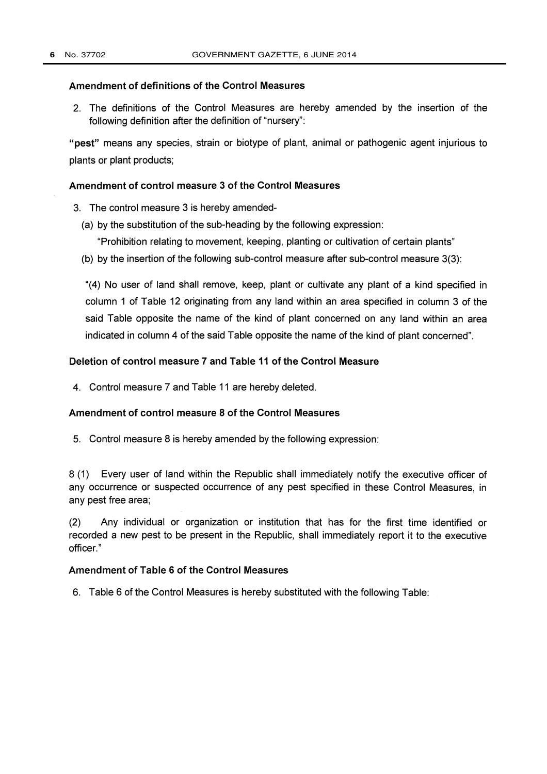#### Amendment of definitions of the Control Measures

2. The definitions of the Control Measures are hereby amended by the insertion of the following definition after the definition of "nursery":

"pest" means any species, strain or biotype of plant, animal or pathogenic agent injurious to plants or plant products;

#### Amendment of control measure 3 of the Control Measures

- 3. The control measure 3 is hereby amended-
	- (a) by the substitution of the sub-heading by the following expression:
		- "Prohibition relating to movement, keeping, planting or cultivation of certain plants"
	- (b) by the insertion of the following sub-control measure after sub-control measure 3(3):

"(4) No user of land shall remove, keep, plant or cultivate any plant of a kind specified in column 1 of Table 12 originating from any land within an area specified in column 3 of the said Table opposite the name of the kind of plant concerned on any land within an area indicated in column 4 of the said Table opposite the name of the kind of plant concerned".

### Deletion of control measure 7 and Table 11 of the Control Measure

4. Control measure 7 and Table 11 are hereby deleted.

#### Amendment of control measure 8 of the Control Measures

5. Control measure 8 is hereby amended by the following expression:

Every user of land within the Republic shall immediately notify the executive officer of  $8(1)$ any occurrence or suspected occurrence of any pest specified in these Control Measures, in any pest free area;

Any individual or organization or institution that has for the first time identified or  $(2)$ recorded a new pest to be present in the Republic, shall immediately report it to the executive officer."

#### Amendment of Table 6 of the Control Measures

6. Table 6 of the Control Measures is hereby substituted with the following Table: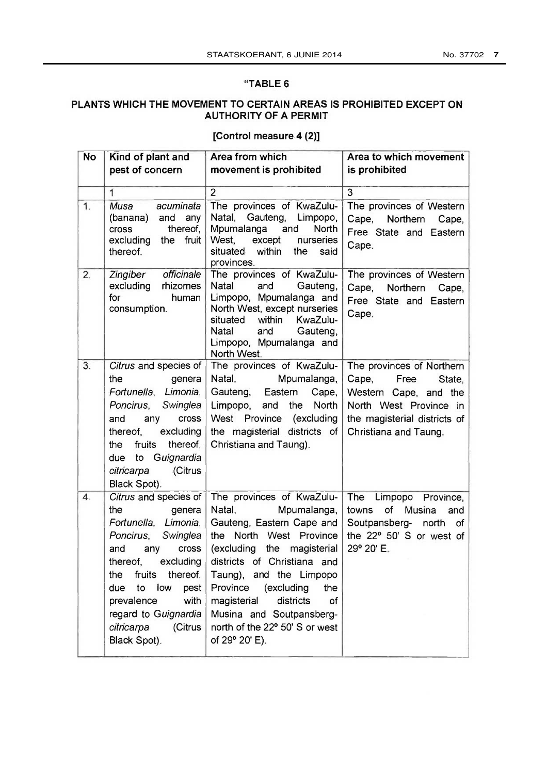# "TABLE 6

# PLANTS WHICH THE MOVEMENT TO CERTAIN AREAS IS PROHIBITED EXCEPT ON **AUTHORITY OF A PERMIT**

# [Control measure 4 (2)]

| <b>No</b>        | Kind of plant and                                                                                                                                                                                                                                                                   | Area from which                                                                                                                                                                                                                                                                                                                                       | Area to which movement                                                                                                                                           |
|------------------|-------------------------------------------------------------------------------------------------------------------------------------------------------------------------------------------------------------------------------------------------------------------------------------|-------------------------------------------------------------------------------------------------------------------------------------------------------------------------------------------------------------------------------------------------------------------------------------------------------------------------------------------------------|------------------------------------------------------------------------------------------------------------------------------------------------------------------|
|                  | pest of concern                                                                                                                                                                                                                                                                     | movement is prohibited                                                                                                                                                                                                                                                                                                                                | is prohibited                                                                                                                                                    |
|                  |                                                                                                                                                                                                                                                                                     |                                                                                                                                                                                                                                                                                                                                                       |                                                                                                                                                                  |
|                  | $\mathbf{1}$                                                                                                                                                                                                                                                                        | $\overline{2}$                                                                                                                                                                                                                                                                                                                                        | $\overline{3}$                                                                                                                                                   |
| 1.               | Musa<br>acuminata<br>(banana)<br>and<br>any<br>thereof,<br><b>Cross</b><br>excluding<br>the<br>fruit<br>thereof.                                                                                                                                                                    | The provinces of KwaZulu-<br>Natal,<br>Gauteng,<br>Limpopo,<br>Mpumalanga<br>and<br>North<br>West,<br>except<br>nurseries<br>situated<br>within the<br>said<br>provinces.                                                                                                                                                                             | The provinces of Western<br>Cape,<br>Northern<br>Cape,<br>Free State and Eastern<br>Cape.                                                                        |
| 2.               | officinale<br>Zingiber<br>excluding<br>rhizomes<br>for<br>human<br>consumption.                                                                                                                                                                                                     | The provinces of KwaZulu-<br>Natal<br>and<br>Gauteng,<br>Limpopo, Mpumalanga and<br>North West, except nurseries<br>within<br>KwaZulu-<br>situated<br>Natal<br>Gauteng,<br>and<br>Limpopo, Mpumalanga and<br>North West.                                                                                                                              | The provinces of Western<br>Cape, Northern Cape,<br>Free State and Eastern<br>Cape.                                                                              |
| 3.               | the<br>genera<br>Fortunella, Limonia,<br>Poncirus,<br>Swinglea<br>and<br>any<br>cross<br>excluding<br>thereof,<br>fruits<br>thereof.<br>the<br>due to Guignardia<br>(Citrus<br>citricarpa<br>Black Spot).                                                                           | Citrus and species of   The provinces of KwaZulu-<br>Natal,<br>Mpumalanga,<br>Gauteng, Eastern Cape,<br>North<br>Limpopo, and<br>the<br>West Province (excluding<br>the magisterial districts of<br>Christiana and Taung).                                                                                                                            | The provinces of Northern<br>Cape,<br>Free<br>State,<br>Western Cape, and the<br>North West Province in<br>the magisterial districts of<br>Christiana and Taung. |
| $\overline{4}$ . | Citrus and species of<br>the<br>genera<br>Fortunella, Limonia,<br>Poncirus,<br>Swinglea<br>cross<br>and<br>any<br>thereof, $excluding$<br>fruits thereof,<br>the<br>to<br>low<br>pest<br>due<br>prevalence<br>with<br>regard to Guignardia<br>citricarpa<br>(Citrus<br>Black Spot). | The provinces of KwaZulu-<br>Natal,<br>Mpumalanga,<br>Gauteng, Eastern Cape and<br>the North West Province<br>(excluding the magisterial<br>districts of Christiana and<br>Taung), and the Limpopo<br>Province<br>(excluding<br>the<br>districts<br>magisterial<br>of<br>Musina and Soutpansberg-<br>north of the 22° 50' S or west<br>of 29° 20' E). | The Limpopo Province,<br>of<br>towns<br>Musina<br>and<br>Soutpansberg- north of<br>the 22° 50' S or west of<br>29° 20' E.                                        |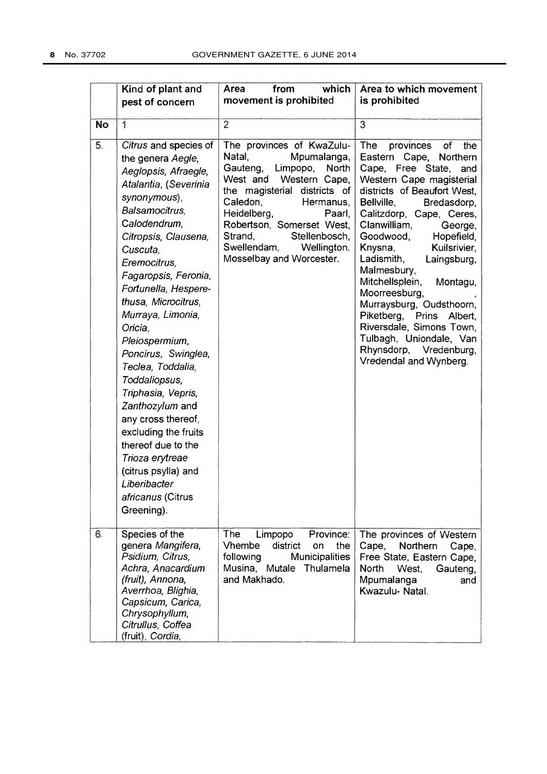|           | Kind of plant and<br>pest of concern                                                                                                                                                                                                                                                                                                                                                                                                                                                                                                                                                              | which<br>Area<br>from<br>movement is prohibited                                                                                                                                                                                                                                                                    | Area to which movement<br>is prohibited                                                                                                                                                                                                                                                                                                                                                                                                                                                                                                                    |
|-----------|---------------------------------------------------------------------------------------------------------------------------------------------------------------------------------------------------------------------------------------------------------------------------------------------------------------------------------------------------------------------------------------------------------------------------------------------------------------------------------------------------------------------------------------------------------------------------------------------------|--------------------------------------------------------------------------------------------------------------------------------------------------------------------------------------------------------------------------------------------------------------------------------------------------------------------|------------------------------------------------------------------------------------------------------------------------------------------------------------------------------------------------------------------------------------------------------------------------------------------------------------------------------------------------------------------------------------------------------------------------------------------------------------------------------------------------------------------------------------------------------------|
| <b>No</b> | $\overline{1}$                                                                                                                                                                                                                                                                                                                                                                                                                                                                                                                                                                                    | $\overline{c}$                                                                                                                                                                                                                                                                                                     | $\overline{3}$                                                                                                                                                                                                                                                                                                                                                                                                                                                                                                                                             |
| 5.        | Citrus and species of<br>the genera Aegle,<br>Aeglopsis, Afraegle,<br>Atalantia, (Severinia<br>synonymous),<br>Balsamocitrus,<br>Calodendrum,<br>Citropsis, Clausena,<br>Cuscuta,<br>Eremocitrus,<br>Fagaropsis, Feronia,<br>Fortunella, Hespere-<br>thusa, Microcitrus,<br>Murraya, Limonia,<br>Oricia,<br>Pleiospermium,<br>Poncirus, Swinglea,<br>Teclea, Toddalia,<br>Toddaliopsus,<br>Triphasia, Vepris,<br>Zanthozylum and<br>any cross thereof,<br>excluding the fruits<br>thereof due to the<br>Trioza erytreae<br>(citrus psylla) and<br>Liberibacter<br>africanus (Citrus<br>Greening). | The provinces of KwaZulu-<br>Natal,<br>Mpumalanga,<br>Limpopo, North<br>Gauteng,<br>West and<br>Western Cape,<br>the magisterial districts of<br>Caledon,<br>Hermanus,<br>Heidelberg,<br>Paarl,<br>Robertson, Somerset West,<br>Strand,<br>Stellenbosch,<br>Swellendam,<br>Wellington.<br>Mosselbay and Worcester. | The<br>provinces<br>of<br>the<br>Cape,<br>Northern<br>Eastern<br>Cape, Free State, and<br>Western Cape magisterial<br>districts of Beaufort West,<br>Bellville,<br>Bredasdorp,<br>Calitzdorp, Cape, Ceres,<br>Clanwilliam,<br>George,<br>Goodwood,<br>Hopefield,<br>Knysna,<br>Kuilsrivier,<br>Ladismith,<br>Laingsburg,<br>Malmesbury,<br>Mitchellsplein,<br>Montagu,<br>Moorreesburg,<br>Murraysburg, Oudsthoorn,<br>Piketberg, Prins Albert,<br>Riversdale, Simons Town,<br>Tulbagh, Uniondale, Van<br>Rhynsdorp, Vredenburg,<br>Vredendal and Wynberg. |
| 6.        | Species of the<br>genera Mangifera,<br>Psidium, Citrus,<br>Achra, Anacardium<br>(fruit), Annona,<br>Averrhoa, Blighia,<br>Capsicum, Carica,<br>Chrysophyllum,<br>Citrullus, Coffea<br>(fruit), Cordia,                                                                                                                                                                                                                                                                                                                                                                                            | The<br>Province:<br>Limpopo<br>Vhembe<br>district<br>the<br>on<br><b>Municipalities</b><br>following<br>Musina, Mutale Thulamela<br>and Makhado.                                                                                                                                                                   | The provinces of Western<br>Cape,<br>Northern<br>Cape,<br>Free State, Eastern Cape,<br><b>North</b><br>West,<br>Gauteng,<br>Mpumalanga<br>and<br>Kwazulu- Natal.                                                                                                                                                                                                                                                                                                                                                                                           |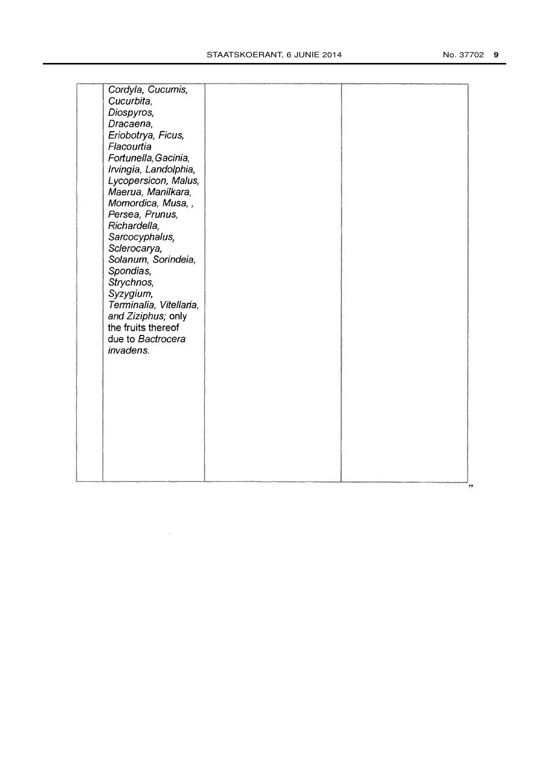| Cordyla, Cucumis,<br>Cucurbita,<br>Diospyros,<br>Dracaena,<br>Eriobotrya, Ficus,<br>Flacourtia<br>Fortunella, Gacinia,<br>Irvingia, Landolphia,<br>Lycopersicon, Malus,<br>Maerua, Manilkara,<br>Momordica, Musa,,<br>Persea, Prunus,<br>Richardella,<br>Sarcocyphalus,<br>Sclerocarya,<br>Solanum, Sorindeia,<br>Spondias,<br>Strychnos,<br>Syzygium,<br>Terminalia, Vitellaria,<br>and Ziziphus; only<br>the fruits thereof<br>due to Bactrocera<br>invadens. |  | ,, |
|-----------------------------------------------------------------------------------------------------------------------------------------------------------------------------------------------------------------------------------------------------------------------------------------------------------------------------------------------------------------------------------------------------------------------------------------------------------------|--|----|
|-----------------------------------------------------------------------------------------------------------------------------------------------------------------------------------------------------------------------------------------------------------------------------------------------------------------------------------------------------------------------------------------------------------------------------------------------------------------|--|----|

 $\sim$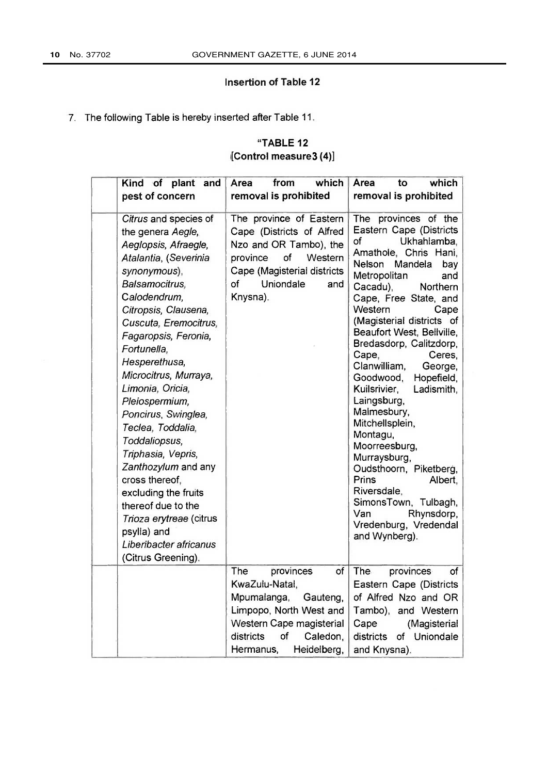# **Insertion of Table 12**

7. The following Table is hereby inserted after Table 11.

# "TABLE 12 [Control measure 3(4)]

| Kind of plant<br>and                                                                                                                                                                                                                                                                                                                                                                                                                                                                                                                                                                      | which<br>from<br>Area                                                                                                                                                                 | which<br>Area<br>to                                                                                                                                                                                                                                                                                                                                                                                                                                                                                                                                                                                                                                                |
|-------------------------------------------------------------------------------------------------------------------------------------------------------------------------------------------------------------------------------------------------------------------------------------------------------------------------------------------------------------------------------------------------------------------------------------------------------------------------------------------------------------------------------------------------------------------------------------------|---------------------------------------------------------------------------------------------------------------------------------------------------------------------------------------|--------------------------------------------------------------------------------------------------------------------------------------------------------------------------------------------------------------------------------------------------------------------------------------------------------------------------------------------------------------------------------------------------------------------------------------------------------------------------------------------------------------------------------------------------------------------------------------------------------------------------------------------------------------------|
| pest of concern                                                                                                                                                                                                                                                                                                                                                                                                                                                                                                                                                                           | removal is prohibited                                                                                                                                                                 | removal is prohibited                                                                                                                                                                                                                                                                                                                                                                                                                                                                                                                                                                                                                                              |
| Citrus and species of<br>the genera Aegle,<br>Aeglopsis, Afraegle,<br>Atalantia, (Severinia<br>synonymous),<br>Balsamocitrus,<br>Calodendrum,<br>Citropsis, Clausena,<br>Cuscuta, Eremocitrus,<br>Fagaropsis, Feronia,<br>Fortunella,<br>Hesperethusa,<br>Microcitrus, Murraya,<br>Limonia, Oricia,<br>Pleiospermium,<br>Poncirus, Swinglea,<br>Teclea, Toddalia,<br>Toddaliopsus,<br>Triphasia, Vepris,<br>Zanthozylum and any<br>cross thereof,<br>excluding the fruits<br>thereof due to the<br>Trioza erytreae (citrus<br>psylla) and<br>Liberibacter africanus<br>(Citrus Greening). | The province of Eastern<br>Cape (Districts of Alfred<br>Nzo and OR Tambo), the<br>of<br>Western<br>province<br>Cape (Magisterial districts<br>of<br>Uniondale<br>and<br>Knysna).      | The provinces of the<br>Eastern Cape (Districts<br>Ukhahlamba,<br>of<br>Amathole, Chris Hani,<br>Mandela<br>Nelson<br>bay<br>Metropolitan<br>and<br>Cacadu),<br>Northern<br>Cape, Free State, and<br>Western<br>Cape<br>(Magisterial districts of<br>Beaufort West, Bellville,<br>Bredasdorp, Calitzdorp,<br>Cape,<br>Ceres,<br>Clanwilliam,<br>George,<br>Goodwood,<br>Hopefield,<br>Kuilsrivier,<br>Ladismith,<br>Laingsburg,<br>Malmesbury,<br>Mitchellsplein,<br>Montagu,<br>Moorreesburg,<br>Murraysburg,<br>Oudsthoorn, Piketberg,<br>Prins<br>Albert,<br>Riversdale,<br>SimonsTown, Tulbagh,<br>Van<br>Rhynsdorp,<br>Vredenburg, Vredendal<br>and Wynberg). |
|                                                                                                                                                                                                                                                                                                                                                                                                                                                                                                                                                                                           | The<br>provinces<br>of<br>KwaZulu-Natal,<br>Mpumalanga,<br>Gauteng,<br>Limpopo, North West and<br>Western Cape magisterial<br>of<br>districts<br>Caledon,<br>Heidelberg,<br>Hermanus, | The<br>provinces<br>of<br>Eastern Cape (Districts<br>of Alfred Nzo and OR<br>Tambo),<br>and Western<br>Cape<br>(Magisterial<br>districts<br>of Uniondale<br>and Knysna).                                                                                                                                                                                                                                                                                                                                                                                                                                                                                           |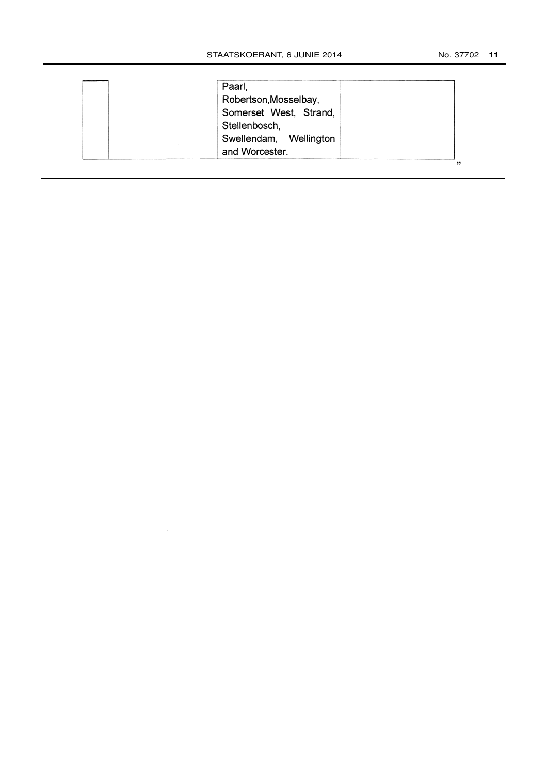| Paarl,                 |    |
|------------------------|----|
| Robertson, Mosselbay,  |    |
| Somerset West, Strand, |    |
| Stellenbosch,          |    |
| Swellendam, Wellington |    |
| and Worcester.         |    |
|                        | ,, |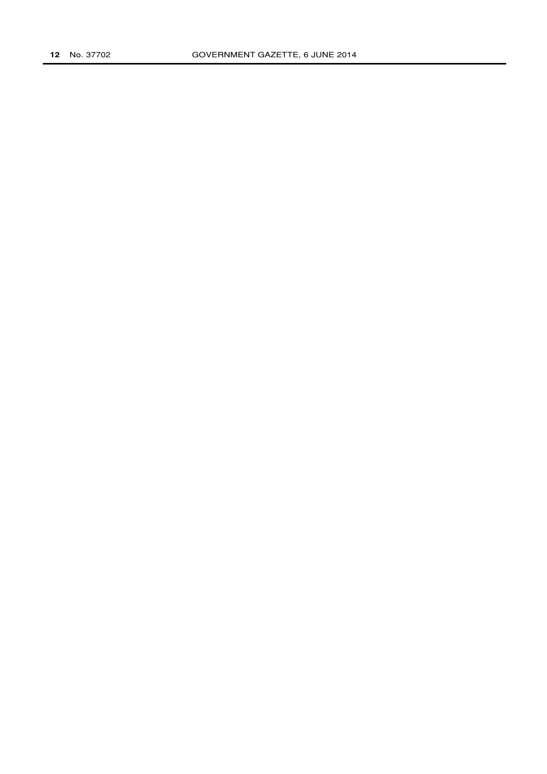12 No. 37702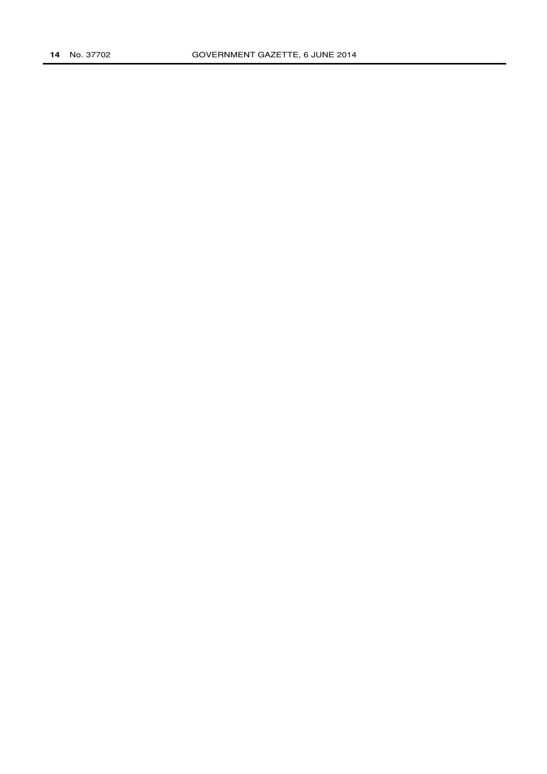14 No. 37702